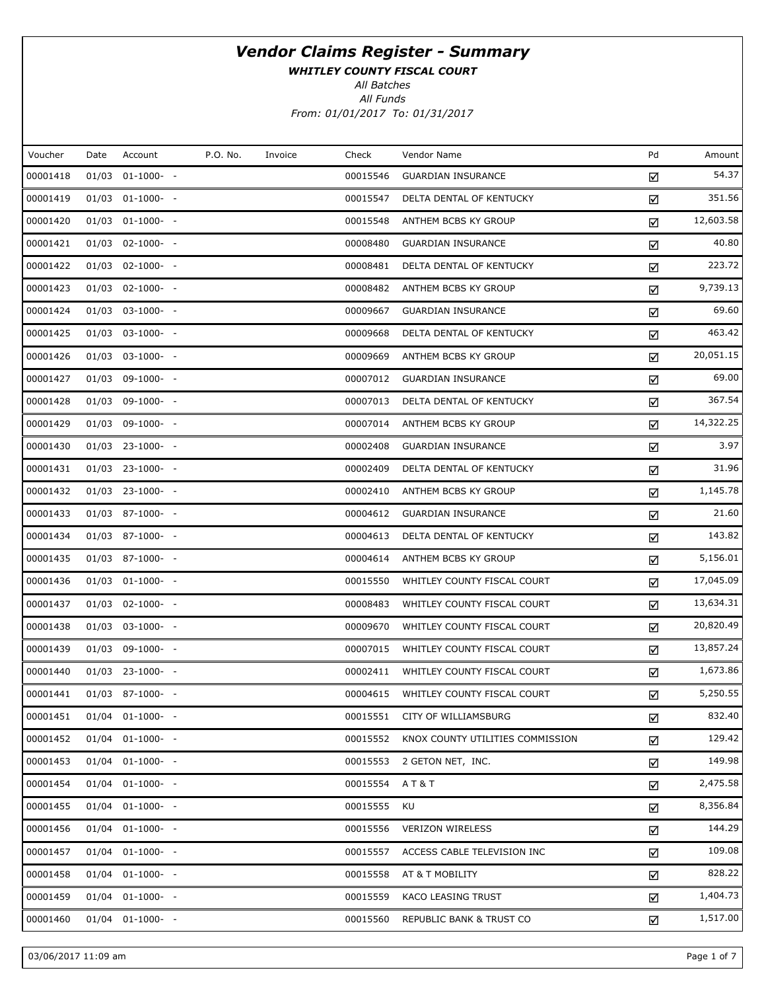WHITLEY COUNTY FISCAL COURT

All Batches

All Funds

From: 01/01/2017 To: 01/31/2017

| Voucher  | Date  | Account               | P.O. No. | Invoice | Check    | Vendor Name                      | Pd | Amount    |
|----------|-------|-----------------------|----------|---------|----------|----------------------------------|----|-----------|
| 00001418 | 01/03 | $01-1000-$ -          |          |         | 00015546 | <b>GUARDIAN INSURANCE</b>        | ☑  | 54.37     |
| 00001419 |       | $01/03$ $01-1000-$ -  |          |         | 00015547 | DELTA DENTAL OF KENTUCKY         | ☑  | 351.56    |
| 00001420 |       | $01/03$ $01-1000-$ -  |          |         | 00015548 | ANTHEM BCBS KY GROUP             | ☑  | 12,603.58 |
| 00001421 |       | $01/03$ 02-1000- -    |          |         | 00008480 | <b>GUARDIAN INSURANCE</b>        | ☑  | 40.80     |
| 00001422 |       | $01/03$ 02-1000- -    |          |         | 00008481 | DELTA DENTAL OF KENTUCKY         | ☑  | 223.72    |
| 00001423 |       | $01/03$ 02-1000- -    |          |         | 00008482 | ANTHEM BCBS KY GROUP             | ☑  | 9,739.13  |
| 00001424 |       | $01/03$ 03-1000- -    |          |         | 00009667 | <b>GUARDIAN INSURANCE</b>        | ☑  | 69.60     |
| 00001425 |       | 01/03 03-1000- -      |          |         | 00009668 | DELTA DENTAL OF KENTUCKY         | ☑  | 463.42    |
| 00001426 |       | $01/03$ 03-1000- -    |          |         | 00009669 | ANTHEM BCBS KY GROUP             | ☑  | 20,051.15 |
| 00001427 |       | 01/03 09-1000- -      |          |         | 00007012 | <b>GUARDIAN INSURANCE</b>        | ☑  | 69.00     |
| 00001428 |       | $01/03$ 09-1000- -    |          |         | 00007013 | DELTA DENTAL OF KENTUCKY         | ☑  | 367.54    |
| 00001429 |       | $01/03$ 09-1000- -    |          |         | 00007014 | ANTHEM BCBS KY GROUP             | ☑  | 14,322.25 |
| 00001430 |       | $01/03$ 23-1000- -    |          |         | 00002408 | <b>GUARDIAN INSURANCE</b>        | ☑  | 3.97      |
| 00001431 |       | $01/03$ 23-1000- -    |          |         | 00002409 | DELTA DENTAL OF KENTUCKY         | ☑  | 31.96     |
| 00001432 |       | $01/03$ 23-1000- -    |          |         | 00002410 | ANTHEM BCBS KY GROUP             | ☑  | 1,145.78  |
| 00001433 |       | $01/03$ 87-1000- -    |          |         | 00004612 | <b>GUARDIAN INSURANCE</b>        | ☑  | 21.60     |
| 00001434 |       | $01/03$ 87-1000- -    |          |         | 00004613 | DELTA DENTAL OF KENTUCKY         | ☑  | 143.82    |
| 00001435 |       | 01/03 87-1000- -      |          |         | 00004614 | ANTHEM BCBS KY GROUP             | ☑  | 5,156.01  |
| 00001436 |       | $01/03$ $01-1000-$ -  |          |         | 00015550 | WHITLEY COUNTY FISCAL COURT      | ☑  | 17,045.09 |
| 00001437 |       | $01/03$ 02-1000- -    |          |         | 00008483 | WHITLEY COUNTY FISCAL COURT      | ☑  | 13,634.31 |
| 00001438 |       | $01/03$ 03-1000- -    |          |         | 00009670 | WHITLEY COUNTY FISCAL COURT      | ☑  | 20,820.49 |
| 00001439 |       | $01/03$ 09-1000- -    |          |         | 00007015 | WHITLEY COUNTY FISCAL COURT      | ☑  | 13,857.24 |
| 00001440 |       | $01/03$ 23-1000- -    |          |         | 00002411 | WHITLEY COUNTY FISCAL COURT      | ☑  | 1,673.86  |
| 00001441 |       | $01/03$ 87-1000- -    |          |         | 00004615 | WHITLEY COUNTY FISCAL COURT      | ☑  | 5,250.55  |
| 00001451 |       | $01/04$ $01-1000-$ -  |          |         |          | 00015551 CITY OF WILLIAMSBURG    | ☑  | 832.40    |
| 00001452 |       | $01/04$ $01-1000$ - - |          |         | 00015552 | KNOX COUNTY UTILITIES COMMISSION | ☑  | 129.42    |
| 00001453 |       | $01/04$ $01-1000-$ -  |          |         | 00015553 | 2 GETON NET, INC.                | ☑  | 149.98    |
| 00001454 |       | $01/04$ $01-1000-$ -  |          |         | 00015554 | AT&T                             | ☑  | 2,475.58  |
| 00001455 |       | $01/04$ $01-1000-$ -  |          |         | 00015555 | KU                               | ☑  | 8,356.84  |
| 00001456 |       | $01/04$ $01-1000-$ -  |          |         | 00015556 | <b>VERIZON WIRELESS</b>          | ☑  | 144.29    |
| 00001457 |       | $01/04$ $01-1000-$ -  |          |         | 00015557 | ACCESS CABLE TELEVISION INC      | ☑  | 109.08    |
| 00001458 |       | $01/04$ $01-1000-$ -  |          |         | 00015558 | AT & T MOBILITY                  | ☑  | 828.22    |
| 00001459 |       | $01/04$ $01-1000-$ -  |          |         | 00015559 | KACO LEASING TRUST               | ☑  | 1,404.73  |
| 00001460 |       | $01/04$ $01-1000-$ -  |          |         | 00015560 | REPUBLIC BANK & TRUST CO         | ☑  | 1,517.00  |
|          |       |                       |          |         |          |                                  |    |           |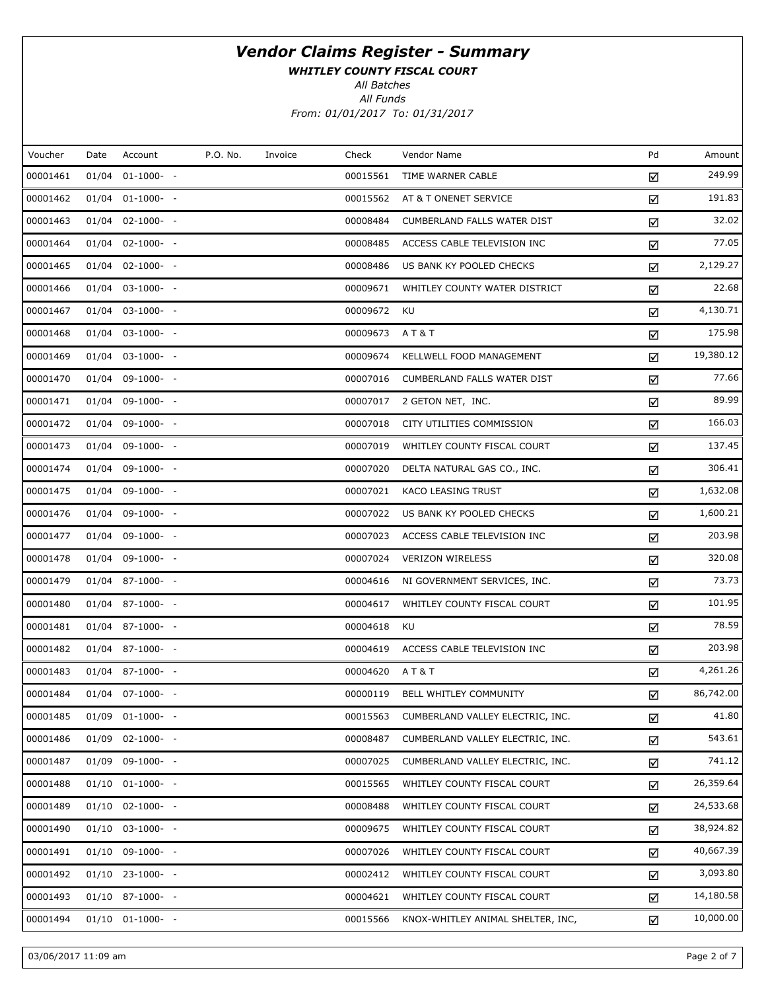WHITLEY COUNTY FISCAL COURT

All Batches

All Funds From: 01/01/2017 To: 01/31/2017

| Voucher<br>00001461<br>00001462<br>00001463<br>00001464<br>00001465 | Date<br>01/04 | Account<br>$01-1000-$<br>$01/04$ $01-1000-$ -<br>$01/04$ 02-1000- -<br>$01/04$ $02-1000-$ -<br>$01/04$ $02-1000-$ -<br>$01/04$ 03-1000- -<br>$01/04$ 03-1000- - | P.O. No. | Invoice | Check<br>00015561<br>00015562<br>00008484<br>00008485 | Vendor Name<br>TIME WARNER CABLE<br>AT & T ONENET SERVICE<br><b>CUMBERLAND FALLS WATER DIST</b> | Pd<br>☑<br>☑<br>☑ | Amount<br>249.99<br>191.83<br>32.02 |
|---------------------------------------------------------------------|---------------|-----------------------------------------------------------------------------------------------------------------------------------------------------------------|----------|---------|-------------------------------------------------------|-------------------------------------------------------------------------------------------------|-------------------|-------------------------------------|
|                                                                     |               |                                                                                                                                                                 |          |         |                                                       |                                                                                                 |                   |                                     |
|                                                                     |               |                                                                                                                                                                 |          |         |                                                       |                                                                                                 |                   |                                     |
|                                                                     |               |                                                                                                                                                                 |          |         |                                                       |                                                                                                 |                   |                                     |
|                                                                     |               |                                                                                                                                                                 |          |         |                                                       |                                                                                                 |                   |                                     |
|                                                                     |               |                                                                                                                                                                 |          |         |                                                       | ACCESS CABLE TELEVISION INC                                                                     | ☑                 | 77.05                               |
|                                                                     |               |                                                                                                                                                                 |          |         | 00008486                                              | US BANK KY POOLED CHECKS                                                                        | ☑                 | 2,129.27                            |
| 00001466                                                            |               |                                                                                                                                                                 |          |         | 00009671                                              | WHITLEY COUNTY WATER DISTRICT                                                                   | ☑                 | 22.68                               |
| 00001467                                                            |               |                                                                                                                                                                 |          |         | 00009672                                              | KU                                                                                              | ☑                 | 4,130.71                            |
| 00001468                                                            |               | 01/04 03-1000- -                                                                                                                                                |          |         | 00009673                                              | A T & T                                                                                         | ☑                 | 175.98                              |
| 00001469                                                            |               | $01/04$ 03-1000- -                                                                                                                                              |          |         | 00009674                                              | KELLWELL FOOD MANAGEMENT                                                                        | ☑                 | 19,380.12                           |
| 00001470                                                            |               | 01/04 09-1000- -                                                                                                                                                |          |         | 00007016                                              | CUMBERLAND FALLS WATER DIST                                                                     | ☑                 | 77.66                               |
| 00001471                                                            |               | $01/04$ 09-1000- -                                                                                                                                              |          |         | 00007017                                              | 2 GETON NET, INC.                                                                               | ☑                 | 89.99                               |
| 00001472                                                            |               | $01/04$ 09-1000- -                                                                                                                                              |          |         | 00007018                                              | CITY UTILITIES COMMISSION                                                                       | ☑                 | 166.03                              |
| 00001473                                                            |               | $01/04$ 09-1000- -                                                                                                                                              |          |         | 00007019                                              | WHITLEY COUNTY FISCAL COURT                                                                     | ☑                 | 137.45                              |
| 00001474                                                            |               | $01/04$ 09-1000- -                                                                                                                                              |          |         | 00007020                                              | DELTA NATURAL GAS CO., INC.                                                                     | ☑                 | 306.41                              |
| 00001475                                                            |               | $01/04$ 09-1000- -                                                                                                                                              |          |         | 00007021                                              | KACO LEASING TRUST                                                                              | ☑                 | 1,632.08                            |
| 00001476                                                            |               | $01/04$ 09-1000- -                                                                                                                                              |          |         | 00007022                                              | US BANK KY POOLED CHECKS                                                                        | ☑                 | 1,600.21                            |
| 00001477                                                            |               | $01/04$ 09-1000- -                                                                                                                                              |          |         | 00007023                                              | ACCESS CABLE TELEVISION INC                                                                     | ☑                 | 203.98                              |
| 00001478                                                            |               | 01/04 09-1000- -                                                                                                                                                |          |         | 00007024                                              | <b>VERIZON WIRELESS</b>                                                                         | ☑                 | 320.08                              |
| 00001479                                                            |               | $01/04$ 87-1000- -                                                                                                                                              |          |         | 00004616                                              | NI GOVERNMENT SERVICES, INC.                                                                    | ☑                 | 73.73                               |
| 00001480                                                            |               | $01/04$ 87-1000- -                                                                                                                                              |          |         | 00004617                                              | WHITLEY COUNTY FISCAL COURT                                                                     | ☑                 | 101.95                              |
| 00001481                                                            |               | $01/04$ 87-1000- -                                                                                                                                              |          |         | 00004618                                              | KU                                                                                              | ☑                 | 78.59                               |
| 00001482                                                            |               | $01/04$ 87-1000- -                                                                                                                                              |          |         | 00004619                                              | ACCESS CABLE TELEVISION INC                                                                     | ☑                 | 203.98                              |
| 00001483                                                            |               | $01/04$ 87-1000- -                                                                                                                                              |          |         | 00004620                                              | <b>AT&amp;T</b>                                                                                 | ☑                 | 4,261.26                            |
| 00001484                                                            |               | $01/04$ $07-1000-$ -                                                                                                                                            |          |         | 00000119                                              | BELL WHITLEY COMMUNITY                                                                          | ☑                 | 86,742.00                           |
| 00001485                                                            |               | $01/09$ $01-1000-$ -                                                                                                                                            |          |         | 00015563                                              | CUMBERLAND VALLEY ELECTRIC, INC.                                                                | ☑                 | 41.80                               |
| 00001486                                                            |               | $01/09$ 02-1000- -                                                                                                                                              |          |         | 00008487                                              | CUMBERLAND VALLEY ELECTRIC, INC.                                                                | ☑                 | 543.61                              |
| 00001487                                                            |               | $01/09$ 09-1000- -                                                                                                                                              |          |         | 00007025                                              | CUMBERLAND VALLEY ELECTRIC, INC.                                                                | ☑                 | 741.12                              |
| 00001488                                                            |               | $01/10$ $01-1000-$ -                                                                                                                                            |          |         | 00015565                                              | WHITLEY COUNTY FISCAL COURT                                                                     | ☑                 | 26,359.64                           |
| 00001489                                                            |               | $01/10$ $02-1000$ - -                                                                                                                                           |          |         | 00008488                                              | WHITLEY COUNTY FISCAL COURT                                                                     | ☑                 | 24,533.68                           |
| 00001490                                                            |               | $01/10$ 03-1000- -                                                                                                                                              |          |         | 00009675                                              | WHITLEY COUNTY FISCAL COURT                                                                     | ☑                 | 38,924.82                           |
| 00001491                                                            |               | 01/10 09-1000- -                                                                                                                                                |          |         | 00007026                                              | WHITLEY COUNTY FISCAL COURT                                                                     | ☑                 | 40,667.39                           |
| 00001492                                                            |               | $01/10$ 23-1000- -                                                                                                                                              |          |         | 00002412                                              | WHITLEY COUNTY FISCAL COURT                                                                     | ☑                 | 3,093.80                            |
| 00001493                                                            |               | $01/10$ 87-1000- -                                                                                                                                              |          |         | 00004621                                              | WHITLEY COUNTY FISCAL COURT                                                                     | ☑                 | 14,180.58                           |
| 00001494                                                            |               | $01/10$ $01-1000-$ -                                                                                                                                            |          |         | 00015566                                              | KNOX-WHITLEY ANIMAL SHELTER, INC,                                                               | ☑                 | 10,000.00                           |

03/06/2017 11:09 am Page 2 of 7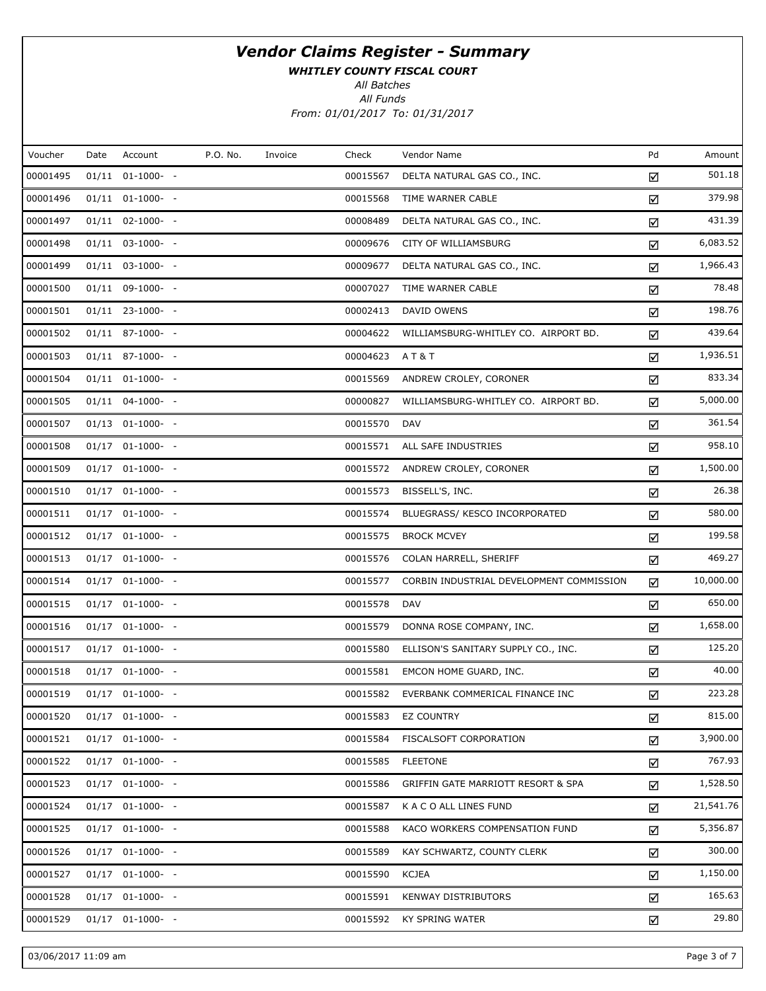WHITLEY COUNTY FISCAL COURT

All Batches

All Funds From: 01/01/2017 To: 01/31/2017

| P.O. No.<br>Pd<br>Voucher<br>Account<br>Check<br>Vendor Name<br>Date<br>Invoice<br>00001495<br>$01/11$ $01-1000-$ -<br>00015567<br>DELTA NATURAL GAS CO., INC.<br>☑<br>00001496<br>00015568<br>$01/11$ $01-1000-$ -<br>TIME WARNER CABLE<br>☑<br>00001497<br>$01/11$ $02-1000-$ -<br>00008489<br>DELTA NATURAL GAS CO., INC.<br>☑<br>00001498<br>00009676<br>$01/11$ $03-1000-$ -<br>CITY OF WILLIAMSBURG<br>☑<br>00001499<br>$01/11$ $03-1000$ - -<br>00009677<br>DELTA NATURAL GAS CO., INC.<br>☑<br>00001500<br>$01/11$ 09-1000- -<br>00007027<br>TIME WARNER CABLE<br>☑<br>00001501<br>$01/11$ 23-1000- -<br>00002413<br>DAVID OWENS<br>☑<br>00001502<br>$01/11$ 87-1000- -<br>00004622<br>WILLIAMSBURG-WHITLEY CO. AIRPORT BD.<br>☑<br>00001503<br>00004623<br>$01/11$ 87-1000- -<br><b>AT&amp;T</b><br>☑<br>00001504<br>$01/11$ $01-1000-$<br>00015569<br>ANDREW CROLEY, CORONER<br>☑<br>00001505<br>$01/11$ $04-1000-$ -<br>00000827<br>WILLIAMSBURG-WHITLEY CO. AIRPORT BD.<br>☑<br>00001507<br>00015570<br>$01/13$ $01-1000$ - -<br><b>DAV</b><br>☑<br>00001508<br>$01/17$ $01-1000-$<br>00015571<br>ALL SAFE INDUSTRIES<br>☑<br>00001509<br>$01/17$ $01-1000-$ -<br>00015572<br>ANDREW CROLEY, CORONER<br>☑<br>00001510<br>$01/17$ $01-1000-$ -<br>00015573<br>BISSELL'S, INC.<br>☑<br>00001511<br>$01/17$ 01-1000- -<br>00015574<br>BLUEGRASS/ KESCO INCORPORATED<br>☑<br>00001512<br>$01/17$ $01-1000-$ -<br>00015575<br><b>BROCK MCVEY</b><br>☑<br>00001513<br>00015576<br>$01/17$ $01-1000-$ -<br>COLAN HARRELL, SHERIFF<br>☑<br>00001514<br>$01/17$ $01-1000-$ -<br>00015577<br>CORBIN INDUSTRIAL DEVELOPMENT COMMISSION<br>☑<br>00001515<br>00015578<br>$01/17$ $01-1000-$ -<br><b>DAV</b><br>☑<br>00001516<br>$01/17$ $01-1000-$ -<br>00015579<br>DONNA ROSE COMPANY, INC.<br>☑<br>00001517<br>00015580<br>$01/17$ $01-1000-$ -<br>ELLISON'S SANITARY SUPPLY CO., INC.<br>☑<br>00001518<br>$01/17$ $01-1000-$ -<br>00015581<br>EMCON HOME GUARD, INC.<br>☑<br>00001519<br>$01/17$ $01-1000-$ -<br>00015582<br>EVERBANK COMMERICAL FINANCE INC<br>☑<br>00001520<br>$01/17$ $01-1000$ - -<br>00015583<br><b>EZ COUNTRY</b><br>☑<br>00001521<br>$01/17$ $01-1000$ - -<br>00015584<br>FISCALSOFT CORPORATION<br>☑<br>00001522<br>$01/17$ $01-1000-$ -<br>00015585<br><b>FLEETONE</b><br>☑<br>00001523<br>$01/17$ $01-1000$ - -<br>00015586<br>GRIFFIN GATE MARRIOTT RESORT & SPA<br>☑<br>00001524<br>$01/17$ $01-1000$ - -<br>00015587<br>K A C O ALL LINES FUND<br>☑<br>00001525<br>$01/17$ $01-1000$ - -<br>00015588<br>KACO WORKERS COMPENSATION FUND<br>☑<br>00001526<br>$01/17$ $01-1000$ - -<br>00015589<br>KAY SCHWARTZ, COUNTY CLERK<br>☑<br>00001527<br>$01/17$ $01-1000$ - -<br>00015590<br>KCJEA<br>☑<br>00001528<br>$01/17$ $01-1000$ - -<br>00015591<br><b>KENWAY DISTRIBUTORS</b><br>☑<br>00001529<br>$01/17$ $01-1000$ - -<br>00015592<br><b>KY SPRING WATER</b><br>☑ |  |  |  |  |           |
|---------------------------------------------------------------------------------------------------------------------------------------------------------------------------------------------------------------------------------------------------------------------------------------------------------------------------------------------------------------------------------------------------------------------------------------------------------------------------------------------------------------------------------------------------------------------------------------------------------------------------------------------------------------------------------------------------------------------------------------------------------------------------------------------------------------------------------------------------------------------------------------------------------------------------------------------------------------------------------------------------------------------------------------------------------------------------------------------------------------------------------------------------------------------------------------------------------------------------------------------------------------------------------------------------------------------------------------------------------------------------------------------------------------------------------------------------------------------------------------------------------------------------------------------------------------------------------------------------------------------------------------------------------------------------------------------------------------------------------------------------------------------------------------------------------------------------------------------------------------------------------------------------------------------------------------------------------------------------------------------------------------------------------------------------------------------------------------------------------------------------------------------------------------------------------------------------------------------------------------------------------------------------------------------------------------------------------------------------------------------------------------------------------------------------------------------------------------------------------------------------------------------------------------------------------------------------------------------------------------------------------------------------------------------------------------------------------------------------------------------------------------------------------------------------------------------------------------------------------------------------------------------------|--|--|--|--|-----------|
|                                                                                                                                                                                                                                                                                                                                                                                                                                                                                                                                                                                                                                                                                                                                                                                                                                                                                                                                                                                                                                                                                                                                                                                                                                                                                                                                                                                                                                                                                                                                                                                                                                                                                                                                                                                                                                                                                                                                                                                                                                                                                                                                                                                                                                                                                                                                                                                                                                                                                                                                                                                                                                                                                                                                                                                                                                                                                                   |  |  |  |  | Amount    |
|                                                                                                                                                                                                                                                                                                                                                                                                                                                                                                                                                                                                                                                                                                                                                                                                                                                                                                                                                                                                                                                                                                                                                                                                                                                                                                                                                                                                                                                                                                                                                                                                                                                                                                                                                                                                                                                                                                                                                                                                                                                                                                                                                                                                                                                                                                                                                                                                                                                                                                                                                                                                                                                                                                                                                                                                                                                                                                   |  |  |  |  | 501.18    |
|                                                                                                                                                                                                                                                                                                                                                                                                                                                                                                                                                                                                                                                                                                                                                                                                                                                                                                                                                                                                                                                                                                                                                                                                                                                                                                                                                                                                                                                                                                                                                                                                                                                                                                                                                                                                                                                                                                                                                                                                                                                                                                                                                                                                                                                                                                                                                                                                                                                                                                                                                                                                                                                                                                                                                                                                                                                                                                   |  |  |  |  | 379.98    |
|                                                                                                                                                                                                                                                                                                                                                                                                                                                                                                                                                                                                                                                                                                                                                                                                                                                                                                                                                                                                                                                                                                                                                                                                                                                                                                                                                                                                                                                                                                                                                                                                                                                                                                                                                                                                                                                                                                                                                                                                                                                                                                                                                                                                                                                                                                                                                                                                                                                                                                                                                                                                                                                                                                                                                                                                                                                                                                   |  |  |  |  | 431.39    |
|                                                                                                                                                                                                                                                                                                                                                                                                                                                                                                                                                                                                                                                                                                                                                                                                                                                                                                                                                                                                                                                                                                                                                                                                                                                                                                                                                                                                                                                                                                                                                                                                                                                                                                                                                                                                                                                                                                                                                                                                                                                                                                                                                                                                                                                                                                                                                                                                                                                                                                                                                                                                                                                                                                                                                                                                                                                                                                   |  |  |  |  | 6,083.52  |
|                                                                                                                                                                                                                                                                                                                                                                                                                                                                                                                                                                                                                                                                                                                                                                                                                                                                                                                                                                                                                                                                                                                                                                                                                                                                                                                                                                                                                                                                                                                                                                                                                                                                                                                                                                                                                                                                                                                                                                                                                                                                                                                                                                                                                                                                                                                                                                                                                                                                                                                                                                                                                                                                                                                                                                                                                                                                                                   |  |  |  |  | 1,966.43  |
|                                                                                                                                                                                                                                                                                                                                                                                                                                                                                                                                                                                                                                                                                                                                                                                                                                                                                                                                                                                                                                                                                                                                                                                                                                                                                                                                                                                                                                                                                                                                                                                                                                                                                                                                                                                                                                                                                                                                                                                                                                                                                                                                                                                                                                                                                                                                                                                                                                                                                                                                                                                                                                                                                                                                                                                                                                                                                                   |  |  |  |  | 78.48     |
|                                                                                                                                                                                                                                                                                                                                                                                                                                                                                                                                                                                                                                                                                                                                                                                                                                                                                                                                                                                                                                                                                                                                                                                                                                                                                                                                                                                                                                                                                                                                                                                                                                                                                                                                                                                                                                                                                                                                                                                                                                                                                                                                                                                                                                                                                                                                                                                                                                                                                                                                                                                                                                                                                                                                                                                                                                                                                                   |  |  |  |  | 198.76    |
|                                                                                                                                                                                                                                                                                                                                                                                                                                                                                                                                                                                                                                                                                                                                                                                                                                                                                                                                                                                                                                                                                                                                                                                                                                                                                                                                                                                                                                                                                                                                                                                                                                                                                                                                                                                                                                                                                                                                                                                                                                                                                                                                                                                                                                                                                                                                                                                                                                                                                                                                                                                                                                                                                                                                                                                                                                                                                                   |  |  |  |  | 439.64    |
|                                                                                                                                                                                                                                                                                                                                                                                                                                                                                                                                                                                                                                                                                                                                                                                                                                                                                                                                                                                                                                                                                                                                                                                                                                                                                                                                                                                                                                                                                                                                                                                                                                                                                                                                                                                                                                                                                                                                                                                                                                                                                                                                                                                                                                                                                                                                                                                                                                                                                                                                                                                                                                                                                                                                                                                                                                                                                                   |  |  |  |  | 1,936.51  |
|                                                                                                                                                                                                                                                                                                                                                                                                                                                                                                                                                                                                                                                                                                                                                                                                                                                                                                                                                                                                                                                                                                                                                                                                                                                                                                                                                                                                                                                                                                                                                                                                                                                                                                                                                                                                                                                                                                                                                                                                                                                                                                                                                                                                                                                                                                                                                                                                                                                                                                                                                                                                                                                                                                                                                                                                                                                                                                   |  |  |  |  | 833.34    |
|                                                                                                                                                                                                                                                                                                                                                                                                                                                                                                                                                                                                                                                                                                                                                                                                                                                                                                                                                                                                                                                                                                                                                                                                                                                                                                                                                                                                                                                                                                                                                                                                                                                                                                                                                                                                                                                                                                                                                                                                                                                                                                                                                                                                                                                                                                                                                                                                                                                                                                                                                                                                                                                                                                                                                                                                                                                                                                   |  |  |  |  | 5,000.00  |
|                                                                                                                                                                                                                                                                                                                                                                                                                                                                                                                                                                                                                                                                                                                                                                                                                                                                                                                                                                                                                                                                                                                                                                                                                                                                                                                                                                                                                                                                                                                                                                                                                                                                                                                                                                                                                                                                                                                                                                                                                                                                                                                                                                                                                                                                                                                                                                                                                                                                                                                                                                                                                                                                                                                                                                                                                                                                                                   |  |  |  |  | 361.54    |
|                                                                                                                                                                                                                                                                                                                                                                                                                                                                                                                                                                                                                                                                                                                                                                                                                                                                                                                                                                                                                                                                                                                                                                                                                                                                                                                                                                                                                                                                                                                                                                                                                                                                                                                                                                                                                                                                                                                                                                                                                                                                                                                                                                                                                                                                                                                                                                                                                                                                                                                                                                                                                                                                                                                                                                                                                                                                                                   |  |  |  |  | 958.10    |
|                                                                                                                                                                                                                                                                                                                                                                                                                                                                                                                                                                                                                                                                                                                                                                                                                                                                                                                                                                                                                                                                                                                                                                                                                                                                                                                                                                                                                                                                                                                                                                                                                                                                                                                                                                                                                                                                                                                                                                                                                                                                                                                                                                                                                                                                                                                                                                                                                                                                                                                                                                                                                                                                                                                                                                                                                                                                                                   |  |  |  |  | 1,500.00  |
|                                                                                                                                                                                                                                                                                                                                                                                                                                                                                                                                                                                                                                                                                                                                                                                                                                                                                                                                                                                                                                                                                                                                                                                                                                                                                                                                                                                                                                                                                                                                                                                                                                                                                                                                                                                                                                                                                                                                                                                                                                                                                                                                                                                                                                                                                                                                                                                                                                                                                                                                                                                                                                                                                                                                                                                                                                                                                                   |  |  |  |  | 26.38     |
|                                                                                                                                                                                                                                                                                                                                                                                                                                                                                                                                                                                                                                                                                                                                                                                                                                                                                                                                                                                                                                                                                                                                                                                                                                                                                                                                                                                                                                                                                                                                                                                                                                                                                                                                                                                                                                                                                                                                                                                                                                                                                                                                                                                                                                                                                                                                                                                                                                                                                                                                                                                                                                                                                                                                                                                                                                                                                                   |  |  |  |  | 580.00    |
|                                                                                                                                                                                                                                                                                                                                                                                                                                                                                                                                                                                                                                                                                                                                                                                                                                                                                                                                                                                                                                                                                                                                                                                                                                                                                                                                                                                                                                                                                                                                                                                                                                                                                                                                                                                                                                                                                                                                                                                                                                                                                                                                                                                                                                                                                                                                                                                                                                                                                                                                                                                                                                                                                                                                                                                                                                                                                                   |  |  |  |  | 199.58    |
|                                                                                                                                                                                                                                                                                                                                                                                                                                                                                                                                                                                                                                                                                                                                                                                                                                                                                                                                                                                                                                                                                                                                                                                                                                                                                                                                                                                                                                                                                                                                                                                                                                                                                                                                                                                                                                                                                                                                                                                                                                                                                                                                                                                                                                                                                                                                                                                                                                                                                                                                                                                                                                                                                                                                                                                                                                                                                                   |  |  |  |  | 469.27    |
|                                                                                                                                                                                                                                                                                                                                                                                                                                                                                                                                                                                                                                                                                                                                                                                                                                                                                                                                                                                                                                                                                                                                                                                                                                                                                                                                                                                                                                                                                                                                                                                                                                                                                                                                                                                                                                                                                                                                                                                                                                                                                                                                                                                                                                                                                                                                                                                                                                                                                                                                                                                                                                                                                                                                                                                                                                                                                                   |  |  |  |  | 10,000.00 |
|                                                                                                                                                                                                                                                                                                                                                                                                                                                                                                                                                                                                                                                                                                                                                                                                                                                                                                                                                                                                                                                                                                                                                                                                                                                                                                                                                                                                                                                                                                                                                                                                                                                                                                                                                                                                                                                                                                                                                                                                                                                                                                                                                                                                                                                                                                                                                                                                                                                                                                                                                                                                                                                                                                                                                                                                                                                                                                   |  |  |  |  | 650.00    |
|                                                                                                                                                                                                                                                                                                                                                                                                                                                                                                                                                                                                                                                                                                                                                                                                                                                                                                                                                                                                                                                                                                                                                                                                                                                                                                                                                                                                                                                                                                                                                                                                                                                                                                                                                                                                                                                                                                                                                                                                                                                                                                                                                                                                                                                                                                                                                                                                                                                                                                                                                                                                                                                                                                                                                                                                                                                                                                   |  |  |  |  | 1,658.00  |
|                                                                                                                                                                                                                                                                                                                                                                                                                                                                                                                                                                                                                                                                                                                                                                                                                                                                                                                                                                                                                                                                                                                                                                                                                                                                                                                                                                                                                                                                                                                                                                                                                                                                                                                                                                                                                                                                                                                                                                                                                                                                                                                                                                                                                                                                                                                                                                                                                                                                                                                                                                                                                                                                                                                                                                                                                                                                                                   |  |  |  |  | 125.20    |
|                                                                                                                                                                                                                                                                                                                                                                                                                                                                                                                                                                                                                                                                                                                                                                                                                                                                                                                                                                                                                                                                                                                                                                                                                                                                                                                                                                                                                                                                                                                                                                                                                                                                                                                                                                                                                                                                                                                                                                                                                                                                                                                                                                                                                                                                                                                                                                                                                                                                                                                                                                                                                                                                                                                                                                                                                                                                                                   |  |  |  |  | 40.00     |
|                                                                                                                                                                                                                                                                                                                                                                                                                                                                                                                                                                                                                                                                                                                                                                                                                                                                                                                                                                                                                                                                                                                                                                                                                                                                                                                                                                                                                                                                                                                                                                                                                                                                                                                                                                                                                                                                                                                                                                                                                                                                                                                                                                                                                                                                                                                                                                                                                                                                                                                                                                                                                                                                                                                                                                                                                                                                                                   |  |  |  |  | 223.28    |
|                                                                                                                                                                                                                                                                                                                                                                                                                                                                                                                                                                                                                                                                                                                                                                                                                                                                                                                                                                                                                                                                                                                                                                                                                                                                                                                                                                                                                                                                                                                                                                                                                                                                                                                                                                                                                                                                                                                                                                                                                                                                                                                                                                                                                                                                                                                                                                                                                                                                                                                                                                                                                                                                                                                                                                                                                                                                                                   |  |  |  |  | 815.00    |
|                                                                                                                                                                                                                                                                                                                                                                                                                                                                                                                                                                                                                                                                                                                                                                                                                                                                                                                                                                                                                                                                                                                                                                                                                                                                                                                                                                                                                                                                                                                                                                                                                                                                                                                                                                                                                                                                                                                                                                                                                                                                                                                                                                                                                                                                                                                                                                                                                                                                                                                                                                                                                                                                                                                                                                                                                                                                                                   |  |  |  |  | 3,900.00  |
|                                                                                                                                                                                                                                                                                                                                                                                                                                                                                                                                                                                                                                                                                                                                                                                                                                                                                                                                                                                                                                                                                                                                                                                                                                                                                                                                                                                                                                                                                                                                                                                                                                                                                                                                                                                                                                                                                                                                                                                                                                                                                                                                                                                                                                                                                                                                                                                                                                                                                                                                                                                                                                                                                                                                                                                                                                                                                                   |  |  |  |  | 767.93    |
|                                                                                                                                                                                                                                                                                                                                                                                                                                                                                                                                                                                                                                                                                                                                                                                                                                                                                                                                                                                                                                                                                                                                                                                                                                                                                                                                                                                                                                                                                                                                                                                                                                                                                                                                                                                                                                                                                                                                                                                                                                                                                                                                                                                                                                                                                                                                                                                                                                                                                                                                                                                                                                                                                                                                                                                                                                                                                                   |  |  |  |  | 1,528.50  |
|                                                                                                                                                                                                                                                                                                                                                                                                                                                                                                                                                                                                                                                                                                                                                                                                                                                                                                                                                                                                                                                                                                                                                                                                                                                                                                                                                                                                                                                                                                                                                                                                                                                                                                                                                                                                                                                                                                                                                                                                                                                                                                                                                                                                                                                                                                                                                                                                                                                                                                                                                                                                                                                                                                                                                                                                                                                                                                   |  |  |  |  | 21,541.76 |
|                                                                                                                                                                                                                                                                                                                                                                                                                                                                                                                                                                                                                                                                                                                                                                                                                                                                                                                                                                                                                                                                                                                                                                                                                                                                                                                                                                                                                                                                                                                                                                                                                                                                                                                                                                                                                                                                                                                                                                                                                                                                                                                                                                                                                                                                                                                                                                                                                                                                                                                                                                                                                                                                                                                                                                                                                                                                                                   |  |  |  |  | 5,356.87  |
|                                                                                                                                                                                                                                                                                                                                                                                                                                                                                                                                                                                                                                                                                                                                                                                                                                                                                                                                                                                                                                                                                                                                                                                                                                                                                                                                                                                                                                                                                                                                                                                                                                                                                                                                                                                                                                                                                                                                                                                                                                                                                                                                                                                                                                                                                                                                                                                                                                                                                                                                                                                                                                                                                                                                                                                                                                                                                                   |  |  |  |  | 300.00    |
|                                                                                                                                                                                                                                                                                                                                                                                                                                                                                                                                                                                                                                                                                                                                                                                                                                                                                                                                                                                                                                                                                                                                                                                                                                                                                                                                                                                                                                                                                                                                                                                                                                                                                                                                                                                                                                                                                                                                                                                                                                                                                                                                                                                                                                                                                                                                                                                                                                                                                                                                                                                                                                                                                                                                                                                                                                                                                                   |  |  |  |  | 1,150.00  |
|                                                                                                                                                                                                                                                                                                                                                                                                                                                                                                                                                                                                                                                                                                                                                                                                                                                                                                                                                                                                                                                                                                                                                                                                                                                                                                                                                                                                                                                                                                                                                                                                                                                                                                                                                                                                                                                                                                                                                                                                                                                                                                                                                                                                                                                                                                                                                                                                                                                                                                                                                                                                                                                                                                                                                                                                                                                                                                   |  |  |  |  | 165.63    |
|                                                                                                                                                                                                                                                                                                                                                                                                                                                                                                                                                                                                                                                                                                                                                                                                                                                                                                                                                                                                                                                                                                                                                                                                                                                                                                                                                                                                                                                                                                                                                                                                                                                                                                                                                                                                                                                                                                                                                                                                                                                                                                                                                                                                                                                                                                                                                                                                                                                                                                                                                                                                                                                                                                                                                                                                                                                                                                   |  |  |  |  | 29.80     |

03/06/2017 11:09 am Page 3 of 7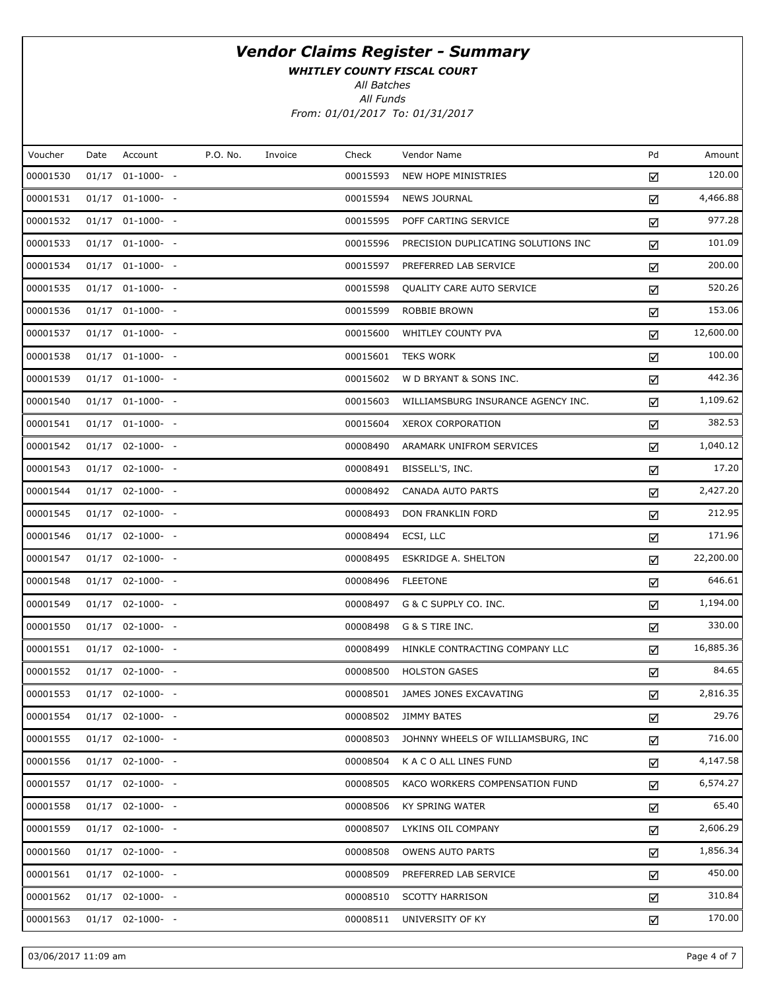WHITLEY COUNTY FISCAL COURT

All Batches

All Funds From: 01/01/2017 To: 01/31/2017

| Voucher  | Date | Account              | P.O. No. | Invoice | Check    | Vendor Name                         | Pd | Amount    |
|----------|------|----------------------|----------|---------|----------|-------------------------------------|----|-----------|
| 00001530 |      | $01/17$ $01-1000-$ - |          |         | 00015593 | NEW HOPE MINISTRIES                 | ☑  | 120.00    |
| 00001531 |      | $01/17$ $01-1000-$ - |          |         | 00015594 | <b>NEWS JOURNAL</b>                 | ☑  | 4,466.88  |
| 00001532 |      | $01/17$ $01-1000-$ - |          |         | 00015595 | POFF CARTING SERVICE                | ☑  | 977.28    |
| 00001533 |      | $01/17$ $01-1000-$ - |          |         | 00015596 | PRECISION DUPLICATING SOLUTIONS INC | ☑  | 101.09    |
| 00001534 |      | $01/17$ $01-1000-$ - |          |         | 00015597 | PREFERRED LAB SERVICE               | ☑  | 200.00    |
| 00001535 |      | $01/17$ $01-1000-$ - |          |         | 00015598 | QUALITY CARE AUTO SERVICE           | ☑  | 520.26    |
| 00001536 |      | $01/17$ $01-1000-$ - |          |         | 00015599 | ROBBIE BROWN                        | ☑  | 153.06    |
| 00001537 |      | $01/17$ $01-1000-$ - |          |         | 00015600 | WHITLEY COUNTY PVA                  | ☑  | 12,600.00 |
| 00001538 |      | $01/17$ $01-1000-$ - |          |         | 00015601 | <b>TEKS WORK</b>                    | ☑  | 100.00    |
| 00001539 |      | $01/17$ $01-1000-$ - |          |         | 00015602 | W D BRYANT & SONS INC.              | ☑  | 442.36    |
| 00001540 |      | $01/17$ $01-1000-$ - |          |         | 00015603 | WILLIAMSBURG INSURANCE AGENCY INC.  | ☑  | 1,109.62  |
| 00001541 |      | $01/17$ $01-1000-$ - |          |         | 00015604 | <b>XEROX CORPORATION</b>            | ☑  | 382.53    |
| 00001542 |      | $01/17$ 02-1000- -   |          |         | 00008490 | ARAMARK UNIFROM SERVICES            | ☑  | 1,040.12  |
| 00001543 |      | $01/17$ 02-1000- -   |          |         | 00008491 | BISSELL'S, INC.                     | ☑  | 17.20     |
| 00001544 |      | $01/17$ 02-1000- -   |          |         | 00008492 | <b>CANADA AUTO PARTS</b>            | ☑  | 2,427.20  |
| 00001545 |      | $01/17$ 02-1000- -   |          |         | 00008493 | DON FRANKLIN FORD                   | ☑  | 212.95    |
| 00001546 |      | $01/17$ 02-1000- -   |          |         | 00008494 | ECSI, LLC                           | ☑  | 171.96    |
| 00001547 |      | $01/17$ 02-1000- -   |          |         | 00008495 | <b>ESKRIDGE A. SHELTON</b>          | ☑  | 22,200.00 |
| 00001548 |      | $01/17$ 02-1000- -   |          |         | 00008496 | <b>FLEETONE</b>                     | ☑  | 646.61    |
| 00001549 |      | $01/17$ 02-1000- -   |          |         | 00008497 | G & C SUPPLY CO. INC.               | ☑  | 1,194.00  |
| 00001550 |      | $01/17$ 02-1000- -   |          |         | 00008498 | G & S TIRE INC.                     | ☑  | 330.00    |
| 00001551 |      | $01/17$ 02-1000- -   |          |         | 00008499 | HINKLE CONTRACTING COMPANY LLC      | ☑  | 16,885.36 |
| 00001552 |      | $01/17$ 02-1000- -   |          |         | 00008500 | <b>HOLSTON GASES</b>                | ☑  | 84.65     |
| 00001553 |      | $01/17$ 02-1000- -   |          |         | 00008501 | JAMES JONES EXCAVATING              | ☑  | 2,816.35  |
| 00001554 |      | $01/17$ 02-1000- -   |          |         | 00008502 | <b>JIMMY BATES</b>                  | ☑  | 29.76     |
| 00001555 |      | $01/17$ 02-1000- -   |          |         | 00008503 | JOHNNY WHEELS OF WILLIAMSBURG, INC  | ☑  | 716.00    |
| 00001556 |      | $01/17$ 02-1000- -   |          |         | 00008504 | K A C O ALL LINES FUND              | ☑  | 4,147.58  |
| 00001557 |      | $01/17$ 02-1000- -   |          |         | 00008505 | KACO WORKERS COMPENSATION FUND      | ☑  | 6,574.27  |
| 00001558 |      | $01/17$ 02-1000- -   |          |         | 00008506 | KY SPRING WATER                     | ☑  | 65.40     |
| 00001559 |      | $01/17$ $02-1000-$ - |          |         | 00008507 | LYKINS OIL COMPANY                  | ☑  | 2,606.29  |
| 00001560 |      | $01/17$ 02-1000- -   |          |         | 00008508 | <b>OWENS AUTO PARTS</b>             | ☑  | 1,856.34  |
| 00001561 |      | $01/17$ 02-1000- -   |          |         | 00008509 | PREFERRED LAB SERVICE               | ☑  | 450.00    |
| 00001562 |      | $01/17$ 02-1000- -   |          |         | 00008510 | <b>SCOTTY HARRISON</b>              | ☑  | 310.84    |
| 00001563 |      | $01/17$ 02-1000- -   |          |         | 00008511 | UNIVERSITY OF KY                    | ☑  | 170.00    |
|          |      |                      |          |         |          |                                     |    |           |

03/06/2017 11:09 am Page 4 of 7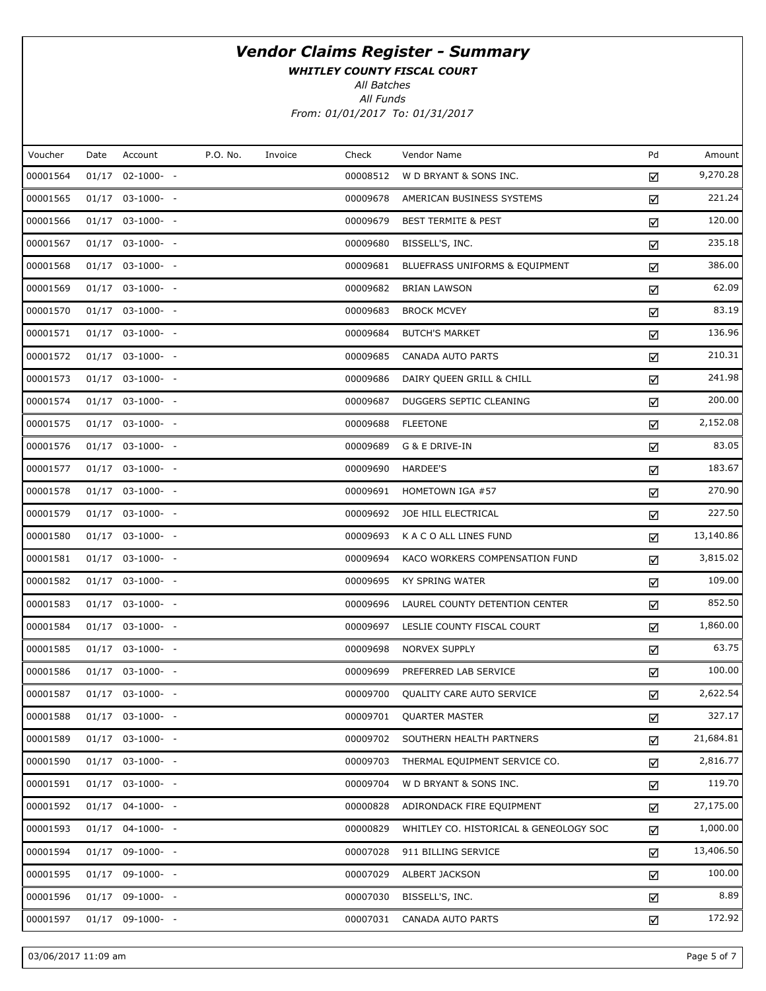WHITLEY COUNTY FISCAL COURT

All Batches

All Funds From: 01/01/2017 To: 01/31/2017

| Voucher  | Date | Account            | P.O. No. | Invoice | Check    | Vendor Name                            | Pd | Amount    |
|----------|------|--------------------|----------|---------|----------|----------------------------------------|----|-----------|
| 00001564 |      | $01/17$ 02-1000- - |          |         | 00008512 | W D BRYANT & SONS INC.                 | ☑  | 9,270.28  |
| 00001565 |      | $01/17$ 03-1000- - |          |         | 00009678 | AMERICAN BUSINESS SYSTEMS              | ☑  | 221.24    |
| 00001566 |      | $01/17$ 03-1000- - |          |         | 00009679 | <b>BEST TERMITE &amp; PEST</b>         | ☑  | 120.00    |
| 00001567 |      | $01/17$ 03-1000- - |          |         | 00009680 | BISSELL'S, INC.                        | ☑  | 235.18    |
| 00001568 |      | $01/17$ 03-1000- - |          |         | 00009681 | BLUEFRASS UNIFORMS & EQUIPMENT         | ☑  | 386.00    |
| 00001569 |      | $01/17$ 03-1000- - |          |         | 00009682 | <b>BRIAN LAWSON</b>                    | ☑  | 62.09     |
| 00001570 |      | $01/17$ 03-1000- - |          |         | 00009683 | <b>BROCK MCVEY</b>                     | ☑  | 83.19     |
| 00001571 |      | $01/17$ 03-1000- - |          |         | 00009684 | <b>BUTCH'S MARKET</b>                  | ☑  | 136.96    |
| 00001572 |      | $01/17$ 03-1000- - |          |         | 00009685 | CANADA AUTO PARTS                      | ☑  | 210.31    |
| 00001573 |      | $01/17$ 03-1000- - |          |         | 00009686 | DAIRY QUEEN GRILL & CHILL              | ☑  | 241.98    |
| 00001574 |      | $01/17$ 03-1000- - |          |         | 00009687 | DUGGERS SEPTIC CLEANING                | ☑  | 200.00    |
| 00001575 |      | $01/17$ 03-1000- - |          |         | 00009688 | <b>FLEETONE</b>                        | ☑  | 2,152.08  |
| 00001576 |      | $01/17$ 03-1000- - |          |         | 00009689 | G & E DRIVE-IN                         | ☑  | 83.05     |
| 00001577 |      | $01/17$ 03-1000- - |          |         | 00009690 | <b>HARDEE'S</b>                        | ☑  | 183.67    |
| 00001578 |      | $01/17$ 03-1000- - |          |         | 00009691 | HOMETOWN IGA #57                       | ☑  | 270.90    |
| 00001579 |      | $01/17$ 03-1000- - |          |         | 00009692 | JOE HILL ELECTRICAL                    | ☑  | 227.50    |
| 00001580 |      | $01/17$ 03-1000- - |          |         | 00009693 | K A C O ALL LINES FUND                 | ☑  | 13,140.86 |
| 00001581 |      | $01/17$ 03-1000- - |          |         | 00009694 | KACO WORKERS COMPENSATION FUND         | ☑  | 3,815.02  |
| 00001582 |      | $01/17$ 03-1000- - |          |         | 00009695 | <b>KY SPRING WATER</b>                 | ☑  | 109.00    |
| 00001583 |      | $01/17$ 03-1000- - |          |         | 00009696 | LAUREL COUNTY DETENTION CENTER         | ☑  | 852.50    |
| 00001584 |      | $01/17$ 03-1000- - |          |         | 00009697 | LESLIE COUNTY FISCAL COURT             | ☑  | 1,860.00  |
| 00001585 |      | $01/17$ 03-1000- - |          |         | 00009698 | <b>NORVEX SUPPLY</b>                   | ☑  | 63.75     |
| 00001586 |      | $01/17$ 03-1000- - |          |         | 00009699 | PREFERRED LAB SERVICE                  | ☑  | 100.00    |
| 00001587 |      | $01/17$ 03-1000- - |          |         | 00009700 | QUALITY CARE AUTO SERVICE              | ☑  | 2,622.54  |
| 00001588 |      | $01/17$ 03-1000- - |          |         | 00009701 | <b>QUARTER MASTER</b>                  | ☑  | 327.17    |
| 00001589 |      | $01/17$ 03-1000- - |          |         | 00009702 | SOUTHERN HEALTH PARTNERS               | ☑  | 21,684.81 |
| 00001590 |      | $01/17$ 03-1000- - |          |         | 00009703 | THERMAL EQUIPMENT SERVICE CO.          | ☑  | 2,816.77  |
| 00001591 |      | $01/17$ 03-1000- - |          |         | 00009704 | W D BRYANT & SONS INC.                 | ☑  | 119.70    |
| 00001592 |      | $01/17$ 04-1000- - |          |         | 00000828 | ADIRONDACK FIRE EQUIPMENT              | ☑  | 27,175.00 |
| 00001593 |      | $01/17$ 04-1000- - |          |         | 00000829 | WHITLEY CO. HISTORICAL & GENEOLOGY SOC | ☑  | 1,000.00  |
| 00001594 |      | $01/17$ 09-1000- - |          |         | 00007028 | 911 BILLING SERVICE                    | ☑  | 13,406.50 |
| 00001595 |      | $01/17$ 09-1000- - |          |         | 00007029 | ALBERT JACKSON                         | ☑  | 100.00    |
| 00001596 |      | $01/17$ 09-1000- - |          |         | 00007030 | BISSELL'S, INC.                        | ☑  | 8.89      |
| 00001597 |      | $01/17$ 09-1000- - |          |         | 00007031 | CANADA AUTO PARTS                      | ☑  | 172.92    |

03/06/2017 11:09 am Page 5 of 7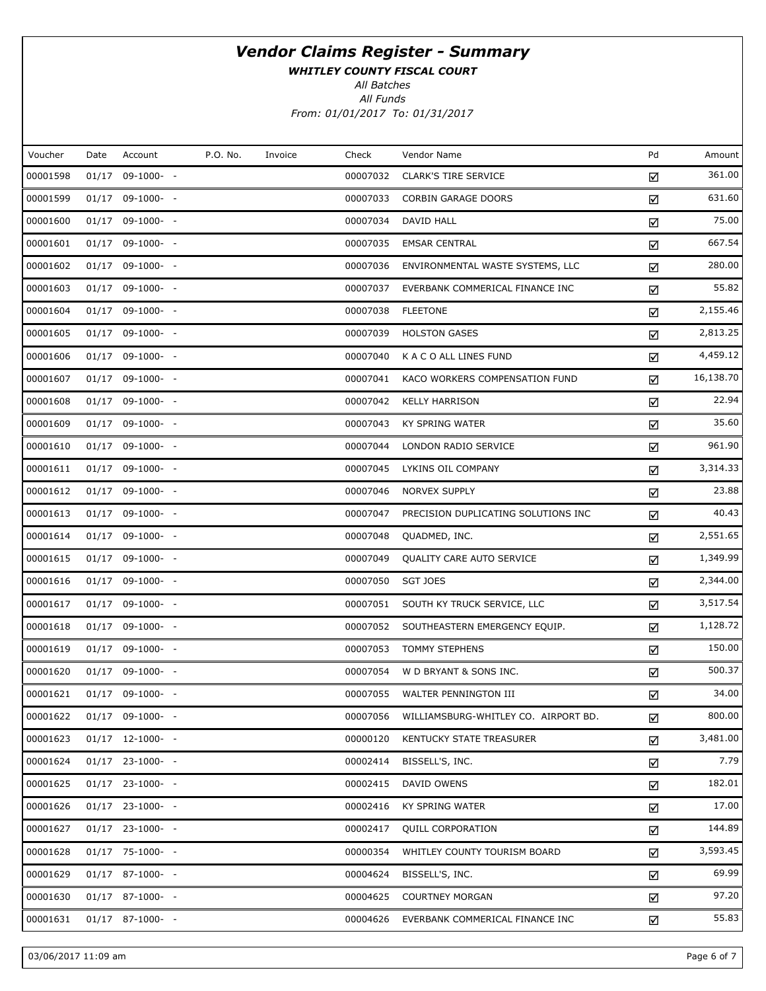WHITLEY COUNTY FISCAL COURT

All Batches

All Funds From: 01/01/2017 To: 01/31/2017

| Voucher  | Date | Account            | P.O. No. | Invoice | Check    | Vendor Name                          | Pd | Amount    |
|----------|------|--------------------|----------|---------|----------|--------------------------------------|----|-----------|
| 00001598 |      | $01/17$ 09-1000- - |          |         | 00007032 | <b>CLARK'S TIRE SERVICE</b>          | ☑  | 361.00    |
| 00001599 |      | $01/17$ 09-1000- - |          |         | 00007033 | <b>CORBIN GARAGE DOORS</b>           | ☑  | 631.60    |
| 00001600 |      | $01/17$ 09-1000- - |          |         | 00007034 | DAVID HALL                           | ☑  | 75.00     |
| 00001601 |      | $01/17$ 09-1000- - |          |         | 00007035 | <b>EMSAR CENTRAL</b>                 | ☑  | 667.54    |
| 00001602 |      | $01/17$ 09-1000- - |          |         | 00007036 | ENVIRONMENTAL WASTE SYSTEMS, LLC     | ☑  | 280.00    |
| 00001603 |      | $01/17$ 09-1000- - |          |         | 00007037 | EVERBANK COMMERICAL FINANCE INC      | ☑  | 55.82     |
| 00001604 |      | $01/17$ 09-1000- - |          |         | 00007038 | <b>FLEETONE</b>                      | ☑  | 2,155.46  |
| 00001605 |      | $01/17$ 09-1000- - |          |         | 00007039 | <b>HOLSTON GASES</b>                 | ☑  | 2,813.25  |
| 00001606 |      | $01/17$ 09-1000- - |          |         | 00007040 | K A C O ALL LINES FUND               | ☑  | 4,459.12  |
| 00001607 |      | $01/17$ 09-1000- - |          |         | 00007041 | KACO WORKERS COMPENSATION FUND       | ☑  | 16,138.70 |
| 00001608 |      | $01/17$ 09-1000- - |          |         | 00007042 | <b>KELLY HARRISON</b>                | ☑  | 22.94     |
| 00001609 |      | $01/17$ 09-1000- - |          |         | 00007043 | <b>KY SPRING WATER</b>               | ☑  | 35.60     |
| 00001610 |      | $01/17$ 09-1000- - |          |         | 00007044 | LONDON RADIO SERVICE                 | ☑  | 961.90    |
| 00001611 |      | $01/17$ 09-1000- - |          |         | 00007045 | LYKINS OIL COMPANY                   | ☑  | 3,314.33  |
| 00001612 |      | $01/17$ 09-1000- - |          |         | 00007046 | <b>NORVEX SUPPLY</b>                 | ☑  | 23.88     |
| 00001613 |      | $01/17$ 09-1000- - |          |         | 00007047 | PRECISION DUPLICATING SOLUTIONS INC  | ☑  | 40.43     |
| 00001614 |      | $01/17$ 09-1000- - |          |         | 00007048 | QUADMED, INC.                        | ☑  | 2,551.65  |
| 00001615 |      | $01/17$ 09-1000- - |          |         | 00007049 | QUALITY CARE AUTO SERVICE            | ☑  | 1,349.99  |
| 00001616 |      | $01/17$ 09-1000- - |          |         | 00007050 | SGT JOES                             | ☑  | 2,344.00  |
| 00001617 |      | $01/17$ 09-1000- - |          |         | 00007051 | SOUTH KY TRUCK SERVICE, LLC          | ☑  | 3,517.54  |
| 00001618 |      | $01/17$ 09-1000- - |          |         | 00007052 | SOUTHEASTERN EMERGENCY EQUIP.        | ☑  | 1,128.72  |
| 00001619 |      | $01/17$ 09-1000- - |          |         | 00007053 | <b>TOMMY STEPHENS</b>                | ☑  | 150.00    |
| 00001620 |      | $01/17$ 09-1000- - |          |         | 00007054 | W D BRYANT & SONS INC.               | ☑  | 500.37    |
| 00001621 |      | $01/17$ 09-1000- - |          |         | 00007055 | WALTER PENNINGTON III                | ☑  | 34.00     |
| 00001622 |      | $01/17$ 09-1000- - |          |         | 00007056 | WILLIAMSBURG-WHITLEY CO. AIRPORT BD. | ☑  | 800.00    |
| 00001623 |      | $01/17$ 12-1000- - |          |         | 00000120 | KENTUCKY STATE TREASURER             | ☑  | 3,481.00  |
| 00001624 |      | $01/17$ 23-1000- - |          |         | 00002414 | BISSELL'S, INC.                      | ☑  | 7.79      |
| 00001625 |      | $01/17$ 23-1000- - |          |         | 00002415 | DAVID OWENS                          | ☑  | 182.01    |
| 00001626 |      | $01/17$ 23-1000- - |          |         | 00002416 | KY SPRING WATER                      | ☑  | 17.00     |
| 00001627 |      | $01/17$ 23-1000- - |          |         | 00002417 | <b>QUILL CORPORATION</b>             | ☑  | 144.89    |
| 00001628 |      | $01/17$ 75-1000- - |          |         | 00000354 | WHITLEY COUNTY TOURISM BOARD         | ☑  | 3,593.45  |
| 00001629 |      | $01/17$ 87-1000- - |          |         | 00004624 | BISSELL'S, INC.                      | ☑  | 69.99     |
| 00001630 |      | $01/17$ 87-1000- - |          |         | 00004625 | <b>COURTNEY MORGAN</b>               | ☑  | 97.20     |
| 00001631 |      | $01/17$ 87-1000- - |          |         | 00004626 | EVERBANK COMMERICAL FINANCE INC      | ☑  | 55.83     |

03/06/2017 11:09 am Page 6 of 7